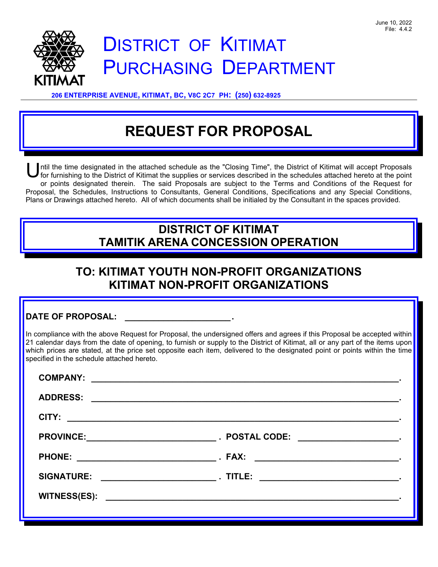

# DISTRICT OF KITIMAT PURCHASING DEPARTMENT

**206 ENTERPRISE AVENUE, KITIMAT, BC, V8C 2C7 PH: (250) 632-8925** 

# **REQUEST FOR PROPOSAL**

ntil the time designated in the attached schedule as the "Closing Time", the District of Kitimat will accept Proposals for furnishing to the District of Kitimat the supplies or services described in the schedules attached hereto at the point or points designated therein. The said Proposals are subject to the Terms and Conditions of the Request for Proposal, the Schedules, Instructions to Consultants, General Conditions, Specifications and any Special Conditions, Plans or Drawings attached hereto. All of which documents shall be initialed by the Consultant in the spaces provided. U

# **DISTRICT OF KITIMAT TAMITIK ARENA CONCESSION OPERATION**

# **TO: KITIMAT YOUTH NON-PROFIT ORGANIZATIONS KITIMAT NON-PROFIT ORGANIZATIONS**

| <b>DATE OF PROPOSAL:</b> |  |
|--------------------------|--|
|                          |  |

In compliance with the above Request for Proposal, the undersigned offers and agrees if this Proposal be accepted within 21 calendar days from the date of opening, to furnish or supply to the District of Kitimat, all or any part of the items upon which prices are stated, at the price set opposite each item, delivered to the designated point or points within the time specified in the schedule attached hereto.

| <b>SIGNATURE:</b> |  |
|-------------------|--|
|                   |  |
|                   |  |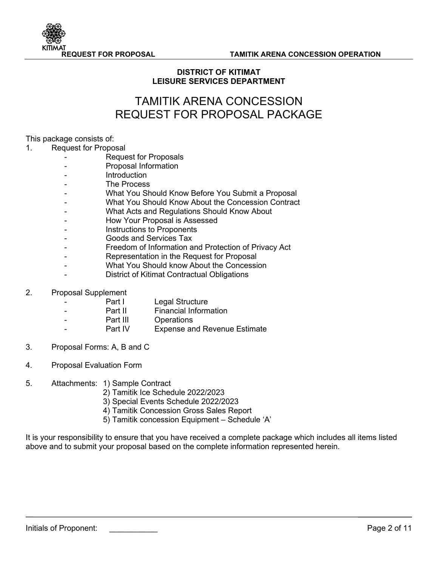

## **DISTRICT OF KITIMAT LEISURE SERVICES DEPARTMENT**

## TAMITIK ARENA CONCESSION REQUEST FOR PROPOSAL PACKAGE

#### This package consists of:

#### 1. Request for Proposal

- Request for Proposals
- Proposal Information
- **Introduction**
- The Process
- What You Should Know Before You Submit a Proposal
- What You Should Know About the Concession Contract
- What Acts and Regulations Should Know About
- How Your Proposal is Assessed
- Instructions to Proponents
- Goods and Services Tax
- Freedom of Information and Protection of Privacy Act
- Representation in the Request for Proposal
- What You Should know About the Concession
- District of Kitimat Contractual Obligations

#### 2. Proposal Supplement

- Part I Legal Structure
- **Part II** Financial Information
- Part III Operations
	- Part IV Expense and Revenue Estimate
- 3. Proposal Forms: A, B and C
- 4. Proposal Evaluation Form
- 5. Attachments: 1) Sample Contract
	- 2) Tamitik Ice Schedule 2022/2023
	- 3) Special Events Schedule 2022/2023
	- 4) Tamitik Concession Gross Sales Report
	- 5) Tamitik concession Equipment Schedule 'A'

It is your responsibility to ensure that you have received a complete package which includes all items listed above and to submit your proposal based on the complete information represented herein.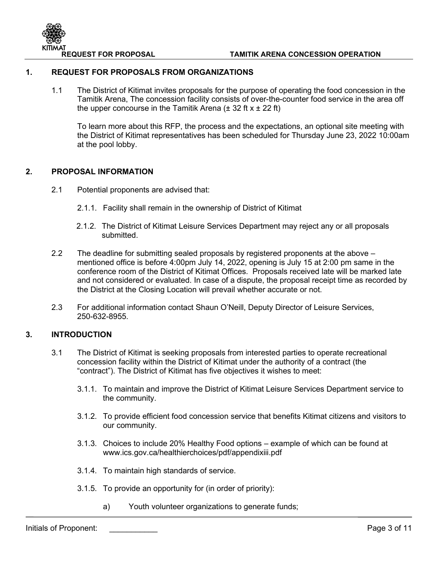

#### **1. REQUEST FOR PROPOSALS FROM ORGANIZATIONS**

1.1 The District of Kitimat invites proposals for the purpose of operating the food concession in the Tamitik Arena, The concession facility consists of over-the-counter food service in the area off the upper concourse in the Tamitik Arena  $(\pm 32 \text{ ft} \times \pm 22 \text{ ft})$ 

To learn more about this RFP, the process and the expectations, an optional site meeting with the District of Kitimat representatives has been scheduled for Thursday June 23, 2022 10:00am at the pool lobby.

## **2. PROPOSAL INFORMATION**

- 2.1 Potential proponents are advised that:
	- 2.1.1. Facility shall remain in the ownership of District of Kitimat
	- 2.1.2. The District of Kitimat Leisure Services Department may reject any or all proposals submitted.
- 2.2 The deadline for submitting sealed proposals by registered proponents at the above mentioned office is before 4:00pm July 14, 2022, opening is July 15 at 2:00 pm same in the conference room of the District of Kitimat Offices. Proposals received late will be marked late and not considered or evaluated. In case of a dispute, the proposal receipt time as recorded by the District at the Closing Location will prevail whether accurate or not.
- 2.3 For additional information contact Shaun O'Neill, Deputy Director of Leisure Services, 250-632-8955.

## **3. INTRODUCTION**

- 3.1 The District of Kitimat is seeking proposals from interested parties to operate recreational concession facility within the District of Kitimat under the authority of a contract (the "contract"). The District of Kitimat has five objectives it wishes to meet:
	- 3.1.1. To maintain and improve the District of Kitimat Leisure Services Department service to the community.
	- 3.1.2. To provide efficient food concession service that benefits Kitimat citizens and visitors to our community.
	- 3.1.3. Choices to include 20% Healthy Food options example of which can be found at www.ics.gov.ca/healthierchoices/pdf/appendixiii.pdf
	- 3.1.4. To maintain high standards of service.
	- 3.1.5. To provide an opportunity for (in order of priority):
		- a) Youth volunteer organizations to generate funds;

Initials of Proponent: \_\_\_\_\_\_\_\_\_\_\_ Page 3 of 11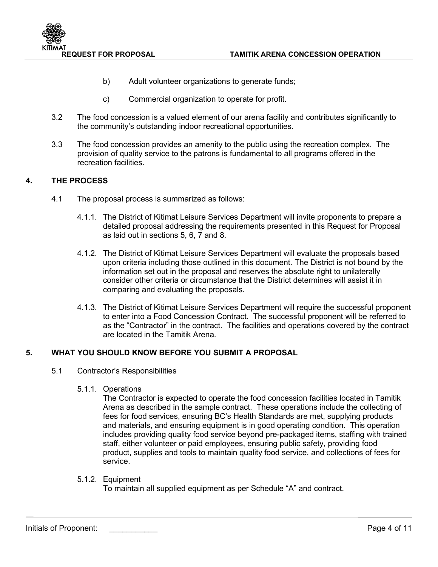

- b) Adult volunteer organizations to generate funds;
- c) Commercial organization to operate for profit.
- 3.2 The food concession is a valued element of our arena facility and contributes significantly to the community's outstanding indoor recreational opportunities.
- 3.3 The food concession provides an amenity to the public using the recreation complex. The provision of quality service to the patrons is fundamental to all programs offered in the recreation facilities.

## **4. THE PROCESS**

- 4.1 The proposal process is summarized as follows:
	- 4.1.1. The District of Kitimat Leisure Services Department will invite proponents to prepare a detailed proposal addressing the requirements presented in this Request for Proposal as laid out in sections 5, 6, 7 and 8.
	- 4.1.2. The District of Kitimat Leisure Services Department will evaluate the proposals based upon criteria including those outlined in this document. The District is not bound by the information set out in the proposal and reserves the absolute right to unilaterally consider other criteria or circumstance that the District determines will assist it in comparing and evaluating the proposals.
	- 4.1.3. The District of Kitimat Leisure Services Department will require the successful proponent to enter into a Food Concession Contract. The successful proponent will be referred to as the "Contractor" in the contract. The facilities and operations covered by the contract are located in the Tamitik Arena.

#### **5. WHAT YOU SHOULD KNOW BEFORE YOU SUBMIT A PROPOSAL**

- 5.1 Contractor's Responsibilities
	- 5.1.1. Operations

The Contractor is expected to operate the food concession facilities located in Tamitik Arena as described in the sample contract. These operations include the collecting of fees for food services, ensuring BC's Health Standards are met, supplying products and materials, and ensuring equipment is in good operating condition. This operation includes providing quality food service beyond pre-packaged items, staffing with trained staff, either volunteer or paid employees, ensuring public safety, providing food product, supplies and tools to maintain quality food service, and collections of fees for service.

5.1.2. Equipment

To maintain all supplied equipment as per Schedule "A" and contract.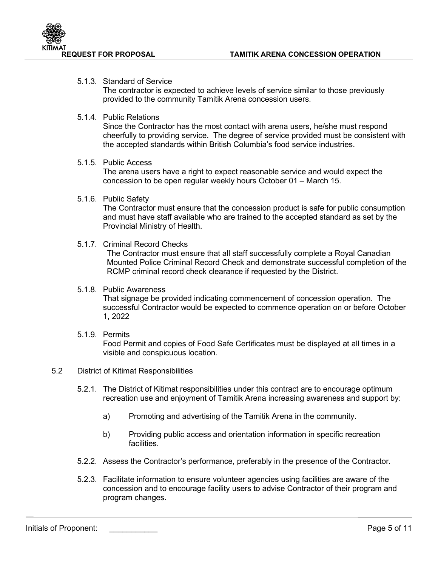

## 5.1.3. Standard of Service

The contractor is expected to achieve levels of service similar to those previously provided to the community Tamitik Arena concession users.

#### 5.1.4. Public Relations

Since the Contractor has the most contact with arena users, he/she must respond cheerfully to providing service. The degree of service provided must be consistent with the accepted standards within British Columbia's food service industries.

#### 5.1.5. Public Access

The arena users have a right to expect reasonable service and would expect the concession to be open regular weekly hours October 01 – March 15.

#### 5.1.6. Public Safety

The Contractor must ensure that the concession product is safe for public consumption and must have staff available who are trained to the accepted standard as set by the Provincial Ministry of Health.

#### 5.1.7. Criminal Record Checks

The Contractor must ensure that all staff successfully complete a Royal Canadian Mounted Police Criminal Record Check and demonstrate successful completion of the RCMP criminal record check clearance if requested by the District.

#### 5.1.8. Public Awareness

That signage be provided indicating commencement of concession operation. The successful Contractor would be expected to commence operation on or before October 1, 2022

#### 5.1.9. Permits

Food Permit and copies of Food Safe Certificates must be displayed at all times in a visible and conspicuous location.

#### 5.2 District of Kitimat Responsibilities

- 5.2.1. The District of Kitimat responsibilities under this contract are to encourage optimum recreation use and enjoyment of Tamitik Arena increasing awareness and support by:
	- a) Promoting and advertising of the Tamitik Arena in the community.
	- b) Providing public access and orientation information in specific recreation facilities.
- 5.2.2. Assess the Contractor's performance, preferably in the presence of the Contractor.
- 5.2.3. Facilitate information to ensure volunteer agencies using facilities are aware of the concession and to encourage facility users to advise Contractor of their program and program changes.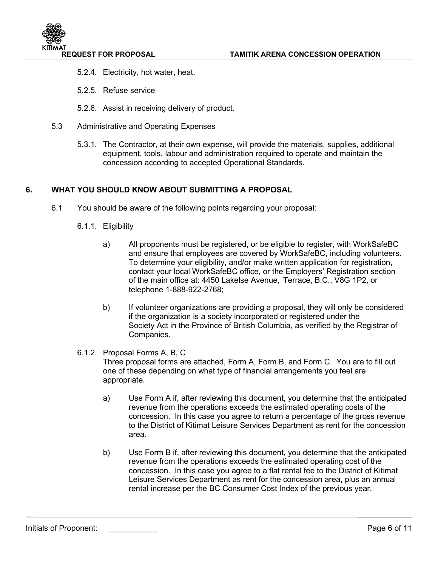- 5.2.4. Electricity, hot water, heat.
- 5.2.5. Refuse service
- 5.2.6. Assist in receiving delivery of product.
- 5.3 Administrative and Operating Expenses
	- 5.3.1. The Contractor, at their own expense, will provide the materials, supplies, additional equipment, tools, labour and administration required to operate and maintain the concession according to accepted Operational Standards.

## **6. WHAT YOU SHOULD KNOW ABOUT SUBMITTING A PROPOSAL**

- 6.1 You should be aware of the following points regarding your proposal:
	- 6.1.1. Eligibility
		- a) All proponents must be registered, or be eligible to register, with WorkSafeBC and ensure that employees are covered by WorkSafeBC, including volunteers. To determine your eligibility, and/or make written application for registration, contact your local WorkSafeBC office, or the Employers' Registration section of the main office at: 4450 Lakelse Avenue, Terrace, B.C., V8G 1P2, or telephone 1-888-922-2768;
		- b) If volunteer organizations are providing a proposal, they will only be considered if the organization is a society incorporated or registered under the Society Act in the Province of British Columbia, as verified by the Registrar of Companies.

#### 6.1.2. Proposal Forms A, B, C

Three proposal forms are attached, Form A, Form B, and Form C. You are to fill out one of these depending on what type of financial arrangements you feel are appropriate.

- a) Use Form A if, after reviewing this document, you determine that the anticipated revenue from the operations exceeds the estimated operating costs of the concession. In this case you agree to return a percentage of the gross revenue to the District of Kitimat Leisure Services Department as rent for the concession area.
- b) Use Form B if, after reviewing this document, you determine that the anticipated revenue from the operations exceeds the estimated operating cost of the concession. In this case you agree to a flat rental fee to the District of Kitimat Leisure Services Department as rent for the concession area, plus an annual rental increase per the BC Consumer Cost Index of the previous year.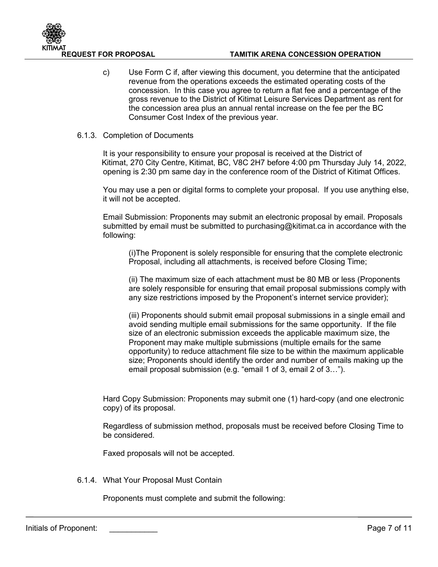

c) Use Form C if, after viewing this document, you determine that the anticipated revenue from the operations exceeds the estimated operating costs of the concession. In this case you agree to return a flat fee and a percentage of the gross revenue to the District of Kitimat Leisure Services Department as rent for the concession area plus an annual rental increase on the fee per the BC Consumer Cost Index of the previous year.

#### 6.1.3. Completion of Documents

It is your responsibility to ensure your proposal is received at the District of Kitimat, 270 City Centre, Kitimat, BC, V8C 2H7 before 4:00 pm Thursday July 14, 2022, opening is 2:30 pm same day in the conference room of the District of Kitimat Offices.

You may use a pen or digital forms to complete your proposal. If you use anything else, it will not be accepted.

Email Submission: Proponents may submit an electronic proposal by email. Proposals submitted by email must be submitted to [purchasing@kitimat.ca](mailto:purchasing@kitimat.ca) in accordance with the following:

(i)The Proponent is solely responsible for ensuring that the complete electronic Proposal, including all attachments, is received before Closing Time;

(ii) The maximum size of each attachment must be 80 MB or less (Proponents are solely responsible for ensuring that email proposal submissions comply with any size restrictions imposed by the Proponent's internet service provider);

(iii) Proponents should submit email proposal submissions in a single email and avoid sending multiple email submissions for the same opportunity. If the file size of an electronic submission exceeds the applicable maximum size, the Proponent may make multiple submissions (multiple emails for the same opportunity) to reduce attachment file size to be within the maximum applicable size; Proponents should identify the order and number of emails making up the email proposal submission (e.g. "email 1 of 3, email 2 of 3…").

Hard Copy Submission: Proponents may submit one (1) hard-copy (and one electronic copy) of its proposal.

Regardless of submission method, proposals must be received before Closing Time to be considered.

Faxed proposals will not be accepted.

6.1.4. What Your Proposal Must Contain

Proponents must complete and submit the following: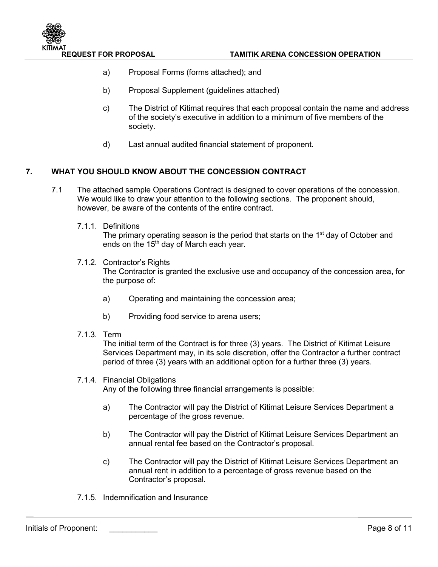

- a) Proposal Forms (forms attached); and
- b) Proposal Supplement (guidelines attached)
- c) The District of Kitimat requires that each proposal contain the name and address of the society's executive in addition to a minimum of five members of the society.
- d) Last annual audited financial statement of proponent.

## **7. WHAT YOU SHOULD KNOW ABOUT THE CONCESSION CONTRACT**

- 7.1 The attached sample Operations Contract is designed to cover operations of the concession. We would like to draw your attention to the following sections. The proponent should, however, be aware of the contents of the entire contract.
	- 7.1.1. Definitions

The primary operating season is the period that starts on the 1<sup>st</sup> day of October and ends on the 15<sup>th</sup> day of March each year.

- 7.1.2. Contractor's Rights The Contractor is granted the exclusive use and occupancy of the concession area, for the purpose of:
	- a) Operating and maintaining the concession area;
	- b) Providing food service to arena users;
- 7.1.3. Term

The initial term of the Contract is for three (3) years. The District of Kitimat Leisure Services Department may, in its sole discretion, offer the Contractor a further contract period of three (3) years with an additional option for a further three (3) years.

#### 7.1.4. Financial Obligations

Any of the following three financial arrangements is possible:

- a) The Contractor will pay the District of Kitimat Leisure Services Department a percentage of the gross revenue.
- b) The Contractor will pay the District of Kitimat Leisure Services Department an annual rental fee based on the Contractor's proposal.
- c) The Contractor will pay the District of Kitimat Leisure Services Department an annual rent in addition to a percentage of gross revenue based on the Contractor's proposal.
- 7.1.5. Indemnification and Insurance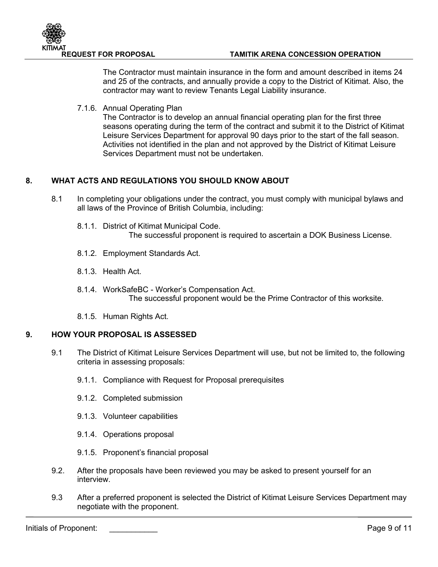

#### **REQUEST FOR PROPOSAL TAMITIK ARENA CONCESSION OPERATION**

The Contractor must maintain insurance in the form and amount described in items 24 and 25 of the contracts, and annually provide a copy to the District of Kitimat. Also, the contractor may want to review Tenants Legal Liability insurance.

7.1.6. Annual Operating Plan

The Contractor is to develop an annual financial operating plan for the first three seasons operating during the term of the contract and submit it to the District of Kitimat Leisure Services Department for approval 90 days prior to the start of the fall season. Activities not identified in the plan and not approved by the District of Kitimat Leisure Services Department must not be undertaken.

## **8. WHAT ACTS AND REGULATIONS YOU SHOULD KNOW ABOUT**

- 8.1 In completing your obligations under the contract, you must comply with municipal bylaws and all laws of the Province of British Columbia, including:
	- 8.1.1. District of Kitimat Municipal Code. The successful proponent is required to ascertain a DOK Business License.
	- 8.1.2. Employment Standards Act.
	- 8.1.3. Health Act.
	- 8.1.4. WorkSafeBC Worker's Compensation Act. The successful proponent would be the Prime Contractor of this worksite.
	- 8.1.5. Human Rights Act.

#### **9. HOW YOUR PROPOSAL IS ASSESSED**

- 9.1 The District of Kitimat Leisure Services Department will use, but not be limited to, the following criteria in assessing proposals:
	- 9.1.1. Compliance with Request for Proposal prerequisites
	- 9.1.2. Completed submission
	- 9.1.3. Volunteer capabilities
	- 9.1.4. Operations proposal
	- 9.1.5. Proponent's financial proposal
- 9.2. After the proposals have been reviewed you may be asked to present yourself for an interview.
- 9.3 After a preferred proponent is selected the District of Kitimat Leisure Services Department may negotiate with the proponent.

Initials of Proponent: \_\_\_\_\_\_\_\_\_\_\_ Page 9 of 11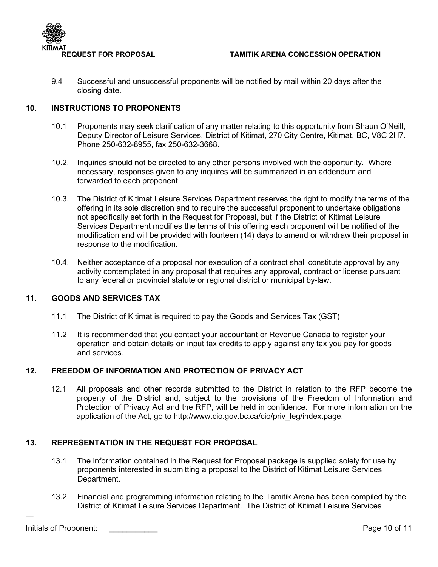

9.4 Successful and unsuccessful proponents will be notified by mail within 20 days after the closing date.

## **10. INSTRUCTIONS TO PROPONENTS**

- 10.1 Proponents may seek clarification of any matter relating to this opportunity from Shaun O'Neill, Deputy Director of Leisure Services, District of Kitimat, 270 City Centre, Kitimat, BC, V8C 2H7. Phone 250-632-8955, fax 250-632-3668.
- 10.2. Inquiries should not be directed to any other persons involved with the opportunity. Where necessary, responses given to any inquires will be summarized in an addendum and forwarded to each proponent.
- 10.3. The District of Kitimat Leisure Services Department reserves the right to modify the terms of the offering in its sole discretion and to require the successful proponent to undertake obligations not specifically set forth in the Request for Proposal, but if the District of Kitimat Leisure Services Department modifies the terms of this offering each proponent will be notified of the modification and will be provided with fourteen (14) days to amend or withdraw their proposal in response to the modification.
- 10.4. Neither acceptance of a proposal nor execution of a contract shall constitute approval by any activity contemplated in any proposal that requires any approval, contract or license pursuant to any federal or provincial statute or regional district or municipal by-law.

## **11. GOODS AND SERVICES TAX**

- 11.1 The District of Kitimat is required to pay the Goods and Services Tax (GST)
- 11.2 It is recommended that you contact your accountant or Revenue Canada to register your operation and obtain details on input tax credits to apply against any tax you pay for goods and services.

## **12. FREEDOM OF INFORMATION AND PROTECTION OF PRIVACY ACT**

12.1 All proposals and other records submitted to the District in relation to the RFP become the property of the District and, subject to the provisions of the Freedom of Information and Protection of Privacy Act and the RFP, will be held in confidence. For more information on the application of the Act, go to [http://www.cio.gov.bc.ca/cio/priv\\_leg/index.page.](http://www.cio.gov.bc.ca/cio/priv_leg/index.page)

## **13. REPRESENTATION IN THE REQUEST FOR PROPOSAL**

- 13.1 The information contained in the Request for Proposal package is supplied solely for use by proponents interested in submitting a proposal to the District of Kitimat Leisure Services Department.
- 13.2 Financial and programming information relating to the Tamitik Arena has been compiled by the District of Kitimat Leisure Services Department. The District of Kitimat Leisure Services

Initials of Proponent: \_\_\_\_\_\_\_\_\_\_\_ Page 10 of 11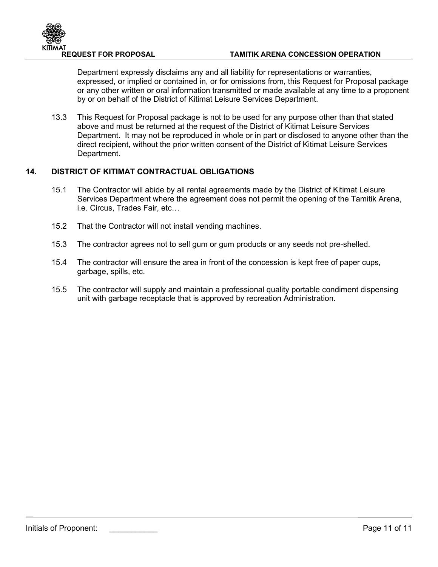

#### **REQUEST FOR PROPOSAL TAMITIK ARENA CONCESSION OPERATION**

Department expressly disclaims any and all liability for representations or warranties, expressed, or implied or contained in, or for omissions from, this Request for Proposal package or any other written or oral information transmitted or made available at any time to a proponent by or on behalf of the District of Kitimat Leisure Services Department.

13.3 This Request for Proposal package is not to be used for any purpose other than that stated above and must be returned at the request of the District of Kitimat Leisure Services Department. It may not be reproduced in whole or in part or disclosed to anyone other than the direct recipient, without the prior written consent of the District of Kitimat Leisure Services Department.

## **14. DISTRICT OF KITIMAT CONTRACTUAL OBLIGATIONS**

- 15.1 The Contractor will abide by all rental agreements made by the District of Kitimat Leisure Services Department where the agreement does not permit the opening of the Tamitik Arena, i.e. Circus, Trades Fair, etc…
- 15.2 That the Contractor will not install vending machines.
- 15.3 The contractor agrees not to sell gum or gum products or any seeds not pre-shelled.
- 15.4 The contractor will ensure the area in front of the concession is kept free of paper cups, garbage, spills, etc.
- 15.5 The contractor will supply and maintain a professional quality portable condiment dispensing unit with garbage receptacle that is approved by recreation Administration.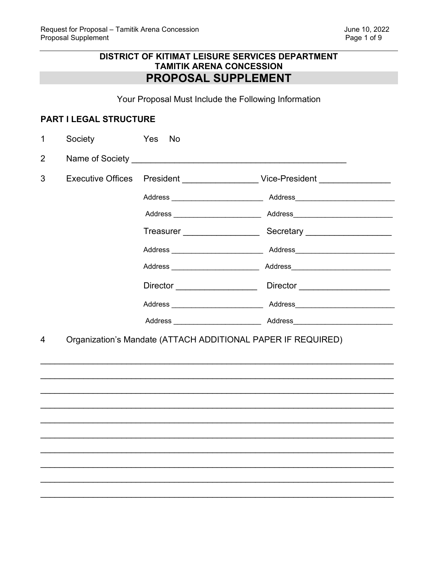## **DISTRICT OF KITIMAT LEISURE SERVICES DEPARTMENT TAMITIK ARENA CONCESSION** PROPOSAL SUPPLEMENT

Your Proposal Must Include the Following Information

## PART I LEGAL STRUCTURE

| 1              | Society | Yes<br><b>No</b>                                             |  |
|----------------|---------|--------------------------------------------------------------|--|
| $\overline{2}$ |         | Name of Society and the state of Society                     |  |
| 3              |         |                                                              |  |
|                |         |                                                              |  |
|                |         |                                                              |  |
|                |         |                                                              |  |
|                |         |                                                              |  |
|                |         |                                                              |  |
|                |         |                                                              |  |
|                |         |                                                              |  |
|                |         |                                                              |  |
| 4              |         | Organization's Mandate (ATTACH ADDITIONAL PAPER IF REQUIRED) |  |
|                |         |                                                              |  |
|                |         |                                                              |  |
|                |         |                                                              |  |
|                |         |                                                              |  |
|                |         |                                                              |  |
|                |         |                                                              |  |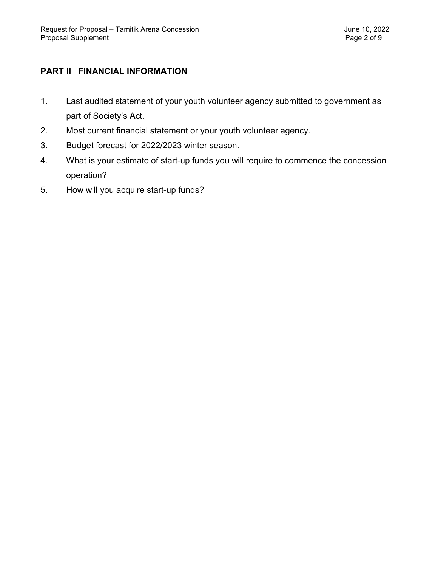## **PART II FINANCIAL INFORMATION**

- 1. Last audited statement of your youth volunteer agency submitted to government as part of Society's Act.
- 2. Most current financial statement or your youth volunteer agency.
- 3. Budget forecast for 2022/2023 winter season.
- 4. What is your estimate of start-up funds you will require to commence the concession operation?
- 5. How will you acquire start-up funds?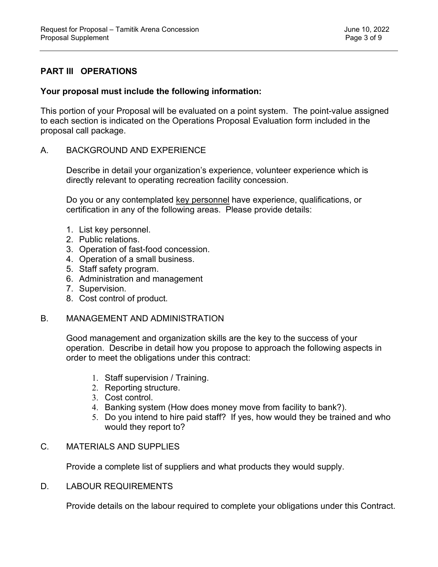## **PART III OPERATIONS**

## **Your proposal must include the following information:**

This portion of your Proposal will be evaluated on a point system. The point-value assigned to each section is indicated on the Operations Proposal Evaluation form included in the proposal call package.

## A. BACKGROUND AND EXPERIENCE

Describe in detail your organization's experience, volunteer experience which is directly relevant to operating recreation facility concession.

Do you or any contemplated key personnel have experience, qualifications, or certification in any of the following areas. Please provide details:

- 1. List key personnel.
- 2. Public relations.
- 3. Operation of fast-food concession.
- 4. Operation of a small business.
- 5. Staff safety program.
- 6. Administration and management
- 7. Supervision.
- 8. Cost control of product.

## B. MANAGEMENT AND ADMINISTRATION

Good management and organization skills are the key to the success of your operation. Describe in detail how you propose to approach the following aspects in order to meet the obligations under this contract:

- 1. Staff supervision / Training.
- 2. Reporting structure.
- 3. Cost control.
- 4. Banking system (How does money move from facility to bank?).
- 5. Do you intend to hire paid staff? If yes, how would they be trained and who would they report to?

## C. MATERIALS AND SUPPLIES

Provide a complete list of suppliers and what products they would supply.

## D. LABOUR REQUIREMENTS

Provide details on the labour required to complete your obligations under this Contract.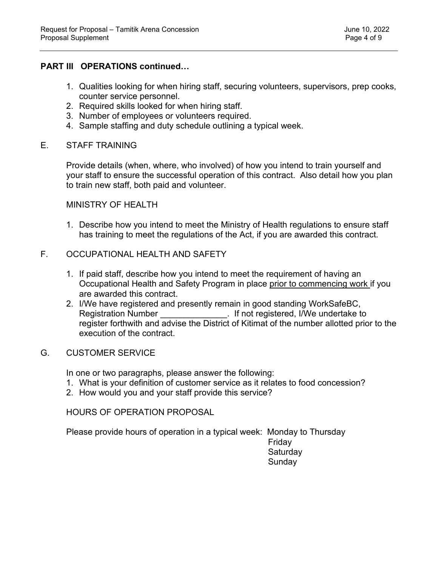## **PART III OPERATIONS continued…**

- 1. Qualities looking for when hiring staff, securing volunteers, supervisors, prep cooks, counter service personnel.
- 2. Required skills looked for when hiring staff.
- 3. Number of employees or volunteers required.
- 4. Sample staffing and duty schedule outlining a typical week.

## E. STAFF TRAINING

Provide details (when, where, who involved) of how you intend to train yourself and your staff to ensure the successful operation of this contract. Also detail how you plan to train new staff, both paid and volunteer.

## MINISTRY OF HEALTH

1. Describe how you intend to meet the Ministry of Health regulations to ensure staff has training to meet the regulations of the Act, if you are awarded this contract.

## F. OCCUPATIONAL HEALTH AND SAFETY

- 1. If paid staff, describe how you intend to meet the requirement of having an Occupational Health and Safety Program in place prior to commencing work if you are awarded this contract.
- 2. I/We have registered and presently remain in good standing WorkSafeBC, . If not registered, I/We undertake to register forthwith and advise the District of Kitimat of the number allotted prior to the execution of the contract.

## G. CUSTOMER SERVICE

In one or two paragraphs, please answer the following:

- 1. What is your definition of customer service as it relates to food concession?
- 2. How would you and your staff provide this service?

HOURS OF OPERATION PROPOSAL

Please provide hours of operation in a typical week: Monday to Thursday

 Friday **Saturday Sunday**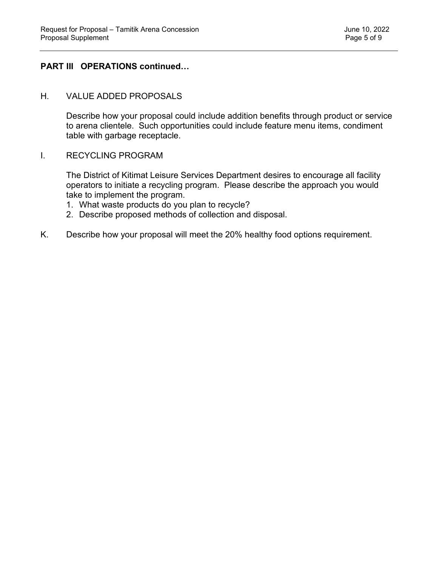## **PART III OPERATIONS continued…**

## H. VALUE ADDED PROPOSALS

Describe how your proposal could include addition benefits through product or service to arena clientele. Such opportunities could include feature menu items, condiment table with garbage receptacle.

## I. RECYCLING PROGRAM

The District of Kitimat Leisure Services Department desires to encourage all facility operators to initiate a recycling program. Please describe the approach you would take to implement the program.

- 1. What waste products do you plan to recycle?
- 2. Describe proposed methods of collection and disposal.
- K. Describe how your proposal will meet the 20% healthy food options requirement.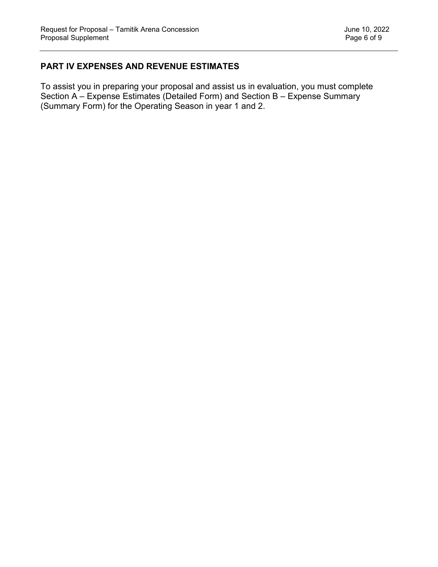## **PART IV EXPENSES AND REVENUE ESTIMATES**

To assist you in preparing your proposal and assist us in evaluation, you must complete Section A – Expense Estimates (Detailed Form) and Section B – Expense Summary (Summary Form) for the Operating Season in year 1 and 2.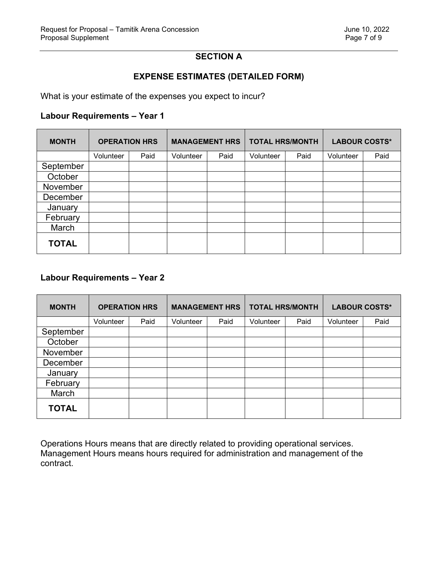## **SECTION A**

## **EXPENSE ESTIMATES (DETAILED FORM)**

What is your estimate of the expenses you expect to incur?

## **Labour Requirements – Year 1**

| <b>MONTH</b> | <b>OPERATION HRS</b> |      | <b>MANAGEMENT HRS</b> |      | <b>TOTAL HRS/MONTH</b> |      | <b>LABOUR COSTS*</b> |      |
|--------------|----------------------|------|-----------------------|------|------------------------|------|----------------------|------|
|              | Volunteer            | Paid | Volunteer             | Paid | Volunteer              | Paid | Volunteer            | Paid |
| September    |                      |      |                       |      |                        |      |                      |      |
| October      |                      |      |                       |      |                        |      |                      |      |
| November     |                      |      |                       |      |                        |      |                      |      |
| December     |                      |      |                       |      |                        |      |                      |      |
| January      |                      |      |                       |      |                        |      |                      |      |
| February     |                      |      |                       |      |                        |      |                      |      |
| March        |                      |      |                       |      |                        |      |                      |      |
| <b>TOTAL</b> |                      |      |                       |      |                        |      |                      |      |

## **Labour Requirements – Year 2**

| <b>MONTH</b> | <b>OPERATION HRS</b> |      | <b>MANAGEMENT HRS</b> |      | <b>TOTAL HRS/MONTH</b> |      | <b>LABOUR COSTS*</b> |      |
|--------------|----------------------|------|-----------------------|------|------------------------|------|----------------------|------|
|              | Volunteer            | Paid | Volunteer             | Paid | Volunteer              | Paid | Volunteer            | Paid |
| September    |                      |      |                       |      |                        |      |                      |      |
| October      |                      |      |                       |      |                        |      |                      |      |
| November     |                      |      |                       |      |                        |      |                      |      |
| December     |                      |      |                       |      |                        |      |                      |      |
| January      |                      |      |                       |      |                        |      |                      |      |
| February     |                      |      |                       |      |                        |      |                      |      |
| March        |                      |      |                       |      |                        |      |                      |      |
| <b>TOTAL</b> |                      |      |                       |      |                        |      |                      |      |

Operations Hours means that are directly related to providing operational services. Management Hours means hours required for administration and management of the contract.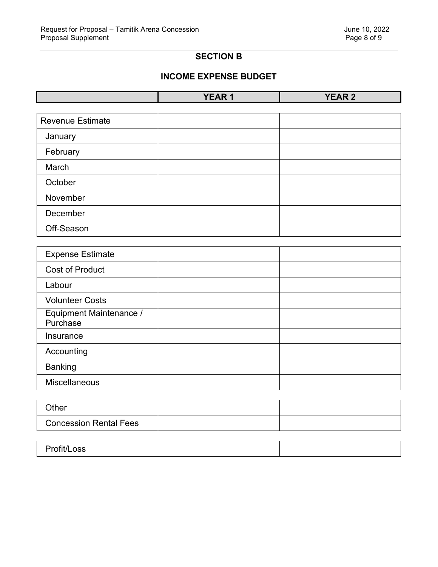## **SECTION B**

## **INCOME EXPENSE BUDGET**

| $\blacksquare$<br>$\cdot$ | _______ | ---<br>--<br>$\ddot{\phantom{a}}$<br>. .<br>_________ |
|---------------------------|---------|-------------------------------------------------------|

| <b>Revenue Estimate</b> |  |
|-------------------------|--|
| January                 |  |
| February                |  |
| March                   |  |
| October                 |  |
| November                |  |
| December                |  |
| Off-Season              |  |

| <b>Expense Estimate</b>             |  |
|-------------------------------------|--|
| <b>Cost of Product</b>              |  |
| Labour                              |  |
| <b>Volunteer Costs</b>              |  |
| Equipment Maintenance /<br>Purchase |  |
| Insurance                           |  |
| Accounting                          |  |
| <b>Banking</b>                      |  |
| <b>Miscellaneous</b>                |  |

| Other                         |  |
|-------------------------------|--|
| <b>Concession Rental Fees</b> |  |

| Profit/Loss |  |  |
|-------------|--|--|
|-------------|--|--|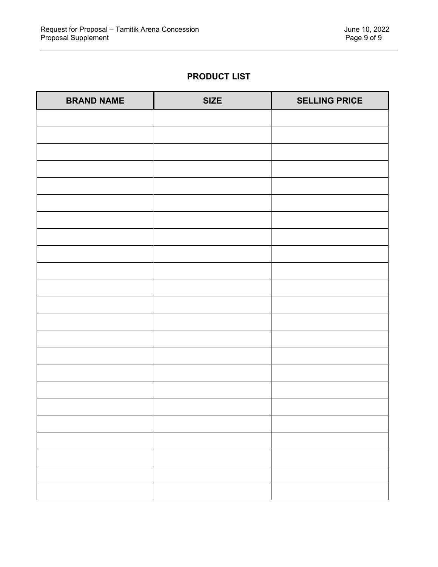## **PRODUCT LIST**

| <b>BRAND NAME</b> | <b>SIZE</b> | <b>SELLING PRICE</b> |
|-------------------|-------------|----------------------|
|                   |             |                      |
|                   |             |                      |
|                   |             |                      |
|                   |             |                      |
|                   |             |                      |
|                   |             |                      |
|                   |             |                      |
|                   |             |                      |
|                   |             |                      |
|                   |             |                      |
|                   |             |                      |
|                   |             |                      |
|                   |             |                      |
|                   |             |                      |
|                   |             |                      |
|                   |             |                      |
|                   |             |                      |
|                   |             |                      |
|                   |             |                      |
|                   |             |                      |
|                   |             |                      |
|                   |             |                      |
|                   |             |                      |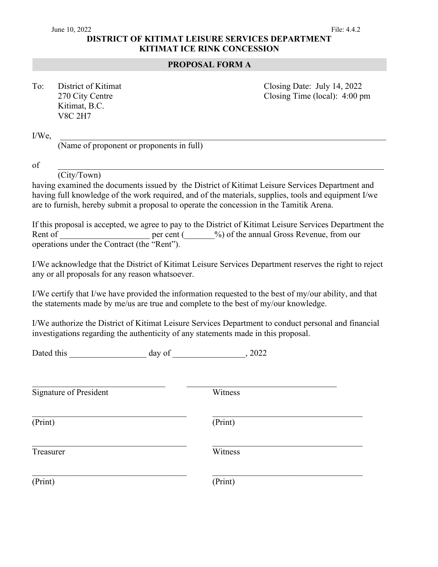## **DISTRICT OF KITIMAT LEISURE SERVICES DEPARTMENT KITIMAT ICE RINK CONCESSION**

## **PROPOSAL FORM A**

| To: | District of Kitimat |
|-----|---------------------|
|     | 270 City Centre     |
|     | Kitimat, B.C.       |
|     | <b>V8C 2H7</b>      |

Closing Date: July 14, 2022 Closing Time (local):  $4:00 \text{ pm}$ 

 $I/We,$ 

(Name of proponent or proponents in full)

 $\delta$  of  $\Gamma$  and  $\Gamma$  and  $\Gamma$  and  $\Gamma$  and  $\Gamma$  and  $\Gamma$  and  $\Gamma$  and  $\Gamma$  and  $\Gamma$  and  $\Gamma$  and  $\Gamma$  and  $\Gamma$  and  $\Gamma$  and  $\Gamma$  and  $\Gamma$  and  $\Gamma$  and  $\Gamma$  and  $\Gamma$  and  $\Gamma$  and  $\Gamma$  and  $\Gamma$  and  $\Gamma$  and  $\Gamma$  and  $\Gamma$  a

(City/Town)

having examined the documents issued by the District of Kitimat Leisure Services Department and having full knowledge of the work required, and of the materials, supplies, tools and equipment I/we are to furnish, hereby submit a proposal to operate the concession in the Tamitik Arena.

If this proposal is accepted, we agree to pay to the District of Kitimat Leisure Services Department the Rent of Texas per cent ( $\%$ ) of the annual Gross Revenue, from our operations under the Contract (the "Rent").

I/We acknowledge that the District of Kitimat Leisure Services Department reserves the right to reject any or all proposals for any reason whatsoever.

I/We certify that I/we have provided the information requested to the best of my/our ability, and that the statements made by me/us are true and complete to the best of my/our knowledge.

I/We authorize the District of Kitimat Leisure Services Department to conduct personal and financial investigations regarding the authenticity of any statements made in this proposal.

| Dated this | aay | $\sim$ $\sim$ $\sim$ $\sim$ $\sim$ |  |  |
|------------|-----|------------------------------------|--|--|
|            |     |                                    |  |  |

| <b>Signature of President</b> | Witness |
|-------------------------------|---------|
| (Print)                       | (Print) |
| Treasurer                     | Witness |
| (Print)                       | (Print) |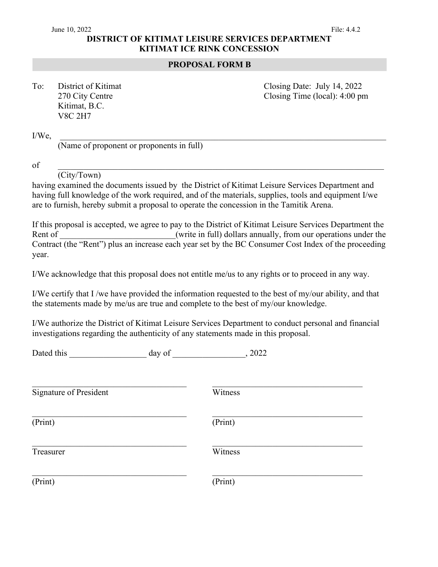## **DISTRICT OF KITIMAT LEISURE SERVICES DEPARTMENT KITIMAT ICE RINK CONCESSION**

## **PROPOSAL FORM B**

| To: | District of Kitimat |
|-----|---------------------|
|     | 270 City Centre     |
|     | Kitimat, B.C.       |
|     | <b>V8C 2H7</b>      |

Closing Date: July 14, 2022 Closing Time (local):  $4:00 \text{ pm}$ 

 $I/We,$ 

(Name of proponent or proponents in full)

of \_\_\_\_\_\_\_\_\_\_\_\_\_\_\_\_\_\_\_\_\_\_\_\_\_\_\_\_\_\_\_\_\_\_\_\_\_\_\_\_\_\_\_\_\_\_\_\_\_\_\_\_\_\_\_\_\_\_\_\_\_\_\_\_\_\_\_\_\_\_\_\_\_\_\_\_

(City/Town)

having examined the documents issued by the District of Kitimat Leisure Services Department and having full knowledge of the work required, and of the materials, supplies, tools and equipment I/we are to furnish, hereby submit a proposal to operate the concession in the Tamitik Arena.

If this proposal is accepted, we agree to pay to the District of Kitimat Leisure Services Department the Rent of **Example 2** (write in full) dollars annually, from our operations under the Contract (the "Rent") plus an increase each year set by the BC Consumer Cost Index of the proceeding year.

I/We acknowledge that this proposal does not entitle me/us to any rights or to proceed in any way.

I/We certify that I /we have provided the information requested to the best of my/our ability, and that the statements made by me/us are true and complete to the best of my/our knowledge.

I/We authorize the District of Kitimat Leisure Services Department to conduct personal and financial investigations regarding the authenticity of any statements made in this proposal.

| Dated this                    | day of | , 2022  |  |
|-------------------------------|--------|---------|--|
| <b>Signature of President</b> |        | Witness |  |
| (Print)                       |        | (Print) |  |
| Treasurer                     |        | Witness |  |
| (Print)                       |        | (Print) |  |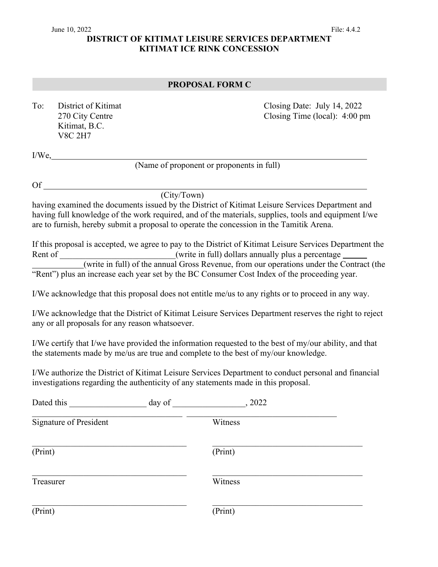## June 10, 2022 File: 4.4.2 **DISTRICT OF KITIMAT LEISURE SERVICES DEPARTMENT KITIMAT ICE RINK CONCESSION**

## **PROPOSAL FORM C**

| To: | District of Kitimat |
|-----|---------------------|
|     | 270 City Centre     |
|     | Kitimat, B.C.       |
|     | V8C 2H7             |

Closing Date: July 14, 2022 Closing Time (local):  $4:00 \text{ pm}$ 

I/We,

(Name of proponent or proponents in full)

Of

(City/Town)

having examined the documents issued by the District of Kitimat Leisure Services Department and having full knowledge of the work required, and of the materials, supplies, tools and equipment I/we are to furnish, hereby submit a proposal to operate the concession in the Tamitik Arena.

If this proposal is accepted, we agree to pay to the District of Kitimat Leisure Services Department the Rent of \_\_\_\_\_\_\_\_\_\_\_\_\_\_\_\_\_\_\_\_\_\_\_\_\_(write in full) dollars annually plus a percentage (write in full) of the annual Gross Revenue, from our operations under the Contract (the "Rent") plus an increase each year set by the BC Consumer Cost Index of the proceeding year.

I/We acknowledge that this proposal does not entitle me/us to any rights or to proceed in any way.

I/We acknowledge that the District of Kitimat Leisure Services Department reserves the right to reject any or all proposals for any reason whatsoever.

I/We certify that I/we have provided the information requested to the best of my/our ability, and that the statements made by me/us are true and complete to the best of my/our knowledge.

I/We authorize the District of Kitimat Leisure Services Department to conduct personal and financial investigations regarding the authenticity of any statements made in this proposal.

| Dated this                    | day of | , 2022  |  |
|-------------------------------|--------|---------|--|
| <b>Signature of President</b> |        | Witness |  |
| (Print)                       |        | (Print) |  |
| Treasurer                     |        | Witness |  |
| (Print)                       |        | (Print) |  |